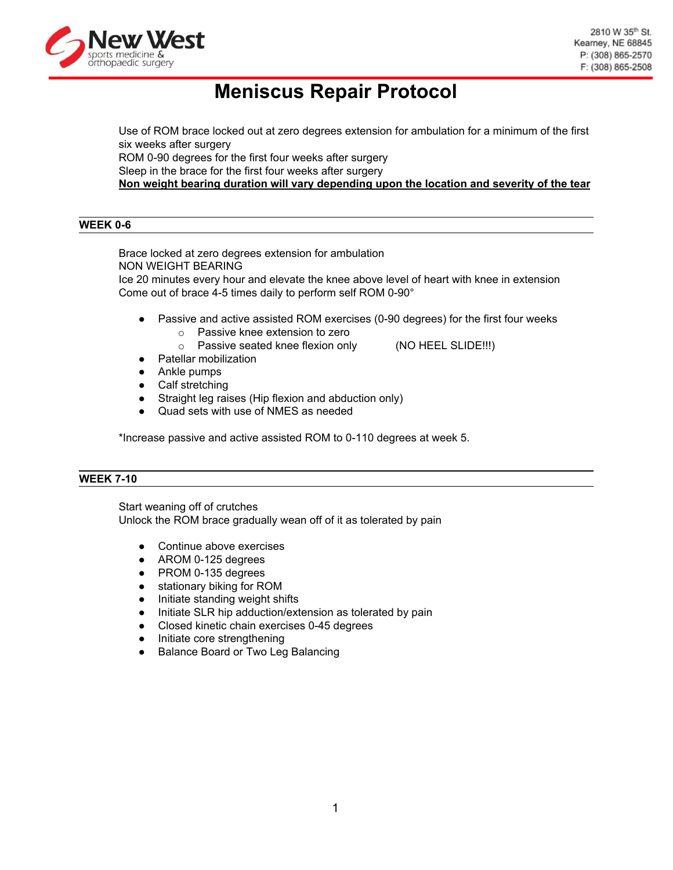

# **Meniscus Repair Protocol**

Use of ROM brace locked out at zero degrees extension for ambulation for a minimum of the first six weeks after surgery ROM 0-90 degrees for the first four weeks after surgery Sleep in the brace for the first four weeks after surgery **Non weight bearing duration will vary depending upon the location and severity of the tear**

## **WEEK 0-6**

Brace locked at zero degrees extension for ambulation NON WEIGHT BEARING Ice 20 minutes every hour and elevate the knee above level of heart with knee in extension Come out of brace 4-5 times daily to perform self ROM 0-90°

- Passive and active assisted ROM exercises (0-90 degrees) for the first four weeks
	- o Passive knee extension to zero
	- o Passive seated knee flexion only (NO HEEL SLIDE!!!)
- Patellar mobilization
- Ankle pumps
- Calf stretching
- Straight leg raises (Hip flexion and abduction only)
- Quad sets with use of NMES as needed

\*Increase passive and active assisted ROM to 0-110 degrees at week 5.

#### **WEEK 7-10**

Start weaning off of crutches Unlock the ROM brace gradually wean off of it as tolerated by pain

- Continue above exercises
- AROM 0-125 degrees
- PROM 0-135 degrees
- stationary biking for ROM
- Initiate standing weight shifts
- Initiate SLR hip adduction/extension as tolerated by pain
- Closed kinetic chain exercises 0-45 degrees
- Initiate core strengthening
- Balance Board or Two Leg Balancing